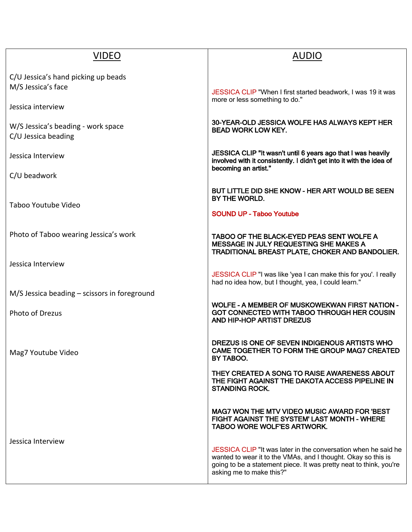| <b>VIDEO</b>                                              | <b>AUDIO</b>                                                                                                                                                                                                                      |
|-----------------------------------------------------------|-----------------------------------------------------------------------------------------------------------------------------------------------------------------------------------------------------------------------------------|
| C/U Jessica's hand picking up beads<br>M/S Jessica's face | JESSICA CLIP "When I first started beadwork, I was 19 it was                                                                                                                                                                      |
| Jessica interview                                         | more or less something to do."                                                                                                                                                                                                    |
| W/S Jessica's beading - work space<br>C/U Jessica beading | 30-YEAR-OLD JESSICA WOLFE HAS ALWAYS KEPT HER<br><b>BEAD WORK LOW KEY.</b>                                                                                                                                                        |
| Jessica Interview                                         | JESSICA CLIP "It wasn't until 6 years ago that I was heavily<br>involved with it consistently. I didn't get into it with the idea of<br>becoming an artist."                                                                      |
| C/U beadwork                                              |                                                                                                                                                                                                                                   |
| Taboo Youtube Video                                       | BUT LITTLE DID SHE KNOW - HER ART WOULD BE SEEN<br>BY THE WORLD.                                                                                                                                                                  |
|                                                           | <b>SOUND UP - Taboo Youtube</b>                                                                                                                                                                                                   |
| Photo of Taboo wearing Jessica's work                     | TABOO OF THE BLACK-EYED PEAS SENT WOLFE A<br>MESSAGE IN JULY REQUESTING SHE MAKES A<br>TRADITIONAL BREAST PLATE, CHOKER AND BANDOLIER.                                                                                            |
| Jessica Interview                                         |                                                                                                                                                                                                                                   |
|                                                           | JESSICA CLIP "I was like 'yea I can make this for you'. I really<br>had no idea how, but I thought, yea, I could learn."                                                                                                          |
| $M/S$ Jessica beading – scissors in foreground            |                                                                                                                                                                                                                                   |
| Photo of Drezus                                           | <b>WOLFE - A MEMBER OF MUSKOWEKWAN FIRST NATION -</b><br>GOT CONNECTED WITH TABOO THROUGH HER COUSIN<br>AND HIP-HOP ARTIST DREZUS                                                                                                 |
| Mag7 Youtube Video                                        | DREZUS IS ONE OF SEVEN INDIGENOUS ARTISTS WHO<br>CAME TOGETHER TO FORM THE GROUP MAG7 CREATED<br>BY TABOO.                                                                                                                        |
|                                                           | THEY CREATED A SONG TO RAISE AWARENESS ABOUT<br>THE FIGHT AGAINST THE DAKOTA ACCESS PIPELINE IN<br><b>STANDING ROCK.</b>                                                                                                          |
|                                                           | MAG7 WON THE MTV VIDEO MUSIC AWARD FOR 'BEST<br>FIGHT AGAINST THE SYSTEM' LAST MONTH - WHERE<br>TABOO WORE WOLF'ES ARTWORK.                                                                                                       |
| Jessica Interview                                         | JESSICA CLIP "It was later in the conversation when he said he<br>wanted to wear it to the VMAs, and I thought. Okay so this is<br>going to be a statement piece. It was pretty neat to think, you're<br>asking me to make this?" |